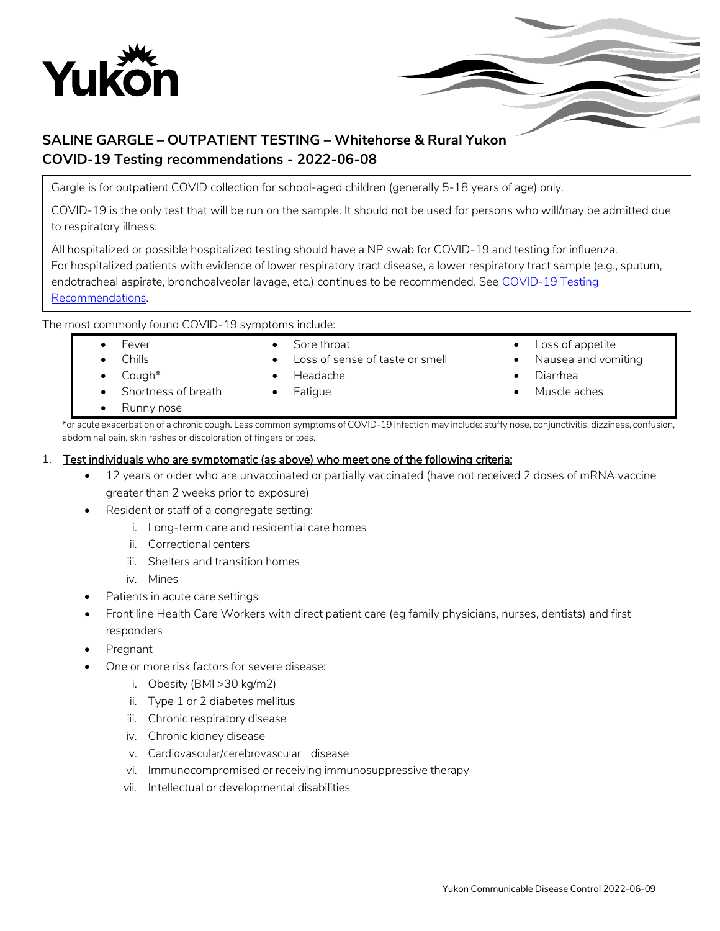

# **SALINE GARGLE – OUTPATIENT TESTING – Whitehorse & Rural Yukon COVID-19 Testing recommendations - 2022-06-08**

Gargle is for outpatient COVID collection for school-aged children (generally 5-18 years of age) only.

COVID-19 is the only test that will be run on the sample. It should not be used for persons who will/may be admitted due to respiratory illness.

All hospitalized or possible hospitalized testing should have a NP swab for COVID-19 and testing for influenza. For hospitalized patients with evidence of lower respiratory tract disease, a lower respiratory tract sample (e.g., sputum, endotracheal aspirate, bronchoalveolar lavage, etc.) continues to be recommended. See [COVID-19 Testing](https://yukon.ca/en/health-and-wellness/health-concerns-diseases-and-conditions/find-information-health-professionals)  [Recommendations.](https://yukon.ca/en/health-and-wellness/health-concerns-diseases-and-conditions/find-information-health-professionals)

The most commonly found COVID-19 symptoms include:

| Fever                 | Sore throat                     | • Loss of appetite  |
|-----------------------|---------------------------------|---------------------|
| Chills                | Loss of sense of taste or smell | Nausea and vomiting |
| Cough*                | Headache                        | Diarrhea            |
| • Shortness of breath | Fatique                         | Muscle aches        |
| Runny nose            |                                 |                     |

\*or acute exacerbation of a chronic cough. Less common symptoms ofCOVID-19 infection may include: stuffy nose, conjunctivitis, dizziness, confusion, abdominal pain, skin rashes or discoloration of fingers or toes.

#### 1. Test individuals who are symptomatic (as above) who meet one of the following criteria:

- 12 years or older who are unvaccinated or partially vaccinated (have not received 2 doses of mRNA vaccine greater than 2 weeks prior to exposure)
- Resident or staff of a congregate setting:
	- i. Long-term care and residential care homes
	- ii. Correctional centers
	- iii. Shelters and transition homes
	- iv. Mines
- Patients in acute care settings
- Front line Health Care Workers with direct patient care (eg family physicians, nurses, dentists) and first responders
- Pregnant
- One or more risk factors for severe disease:
	- i. Obesity (BMI >30 kg/m2)
	- ii. Type 1 or 2 diabetes mellitus
	- iii. Chronic respiratory disease
	- iv. Chronic kidney disease
	- v. Cardiovascular/cerebrovascular disease
	- vi. Immunocompromised or receiving immunosuppressive therapy
	- vii. Intellectual or developmental disabilities